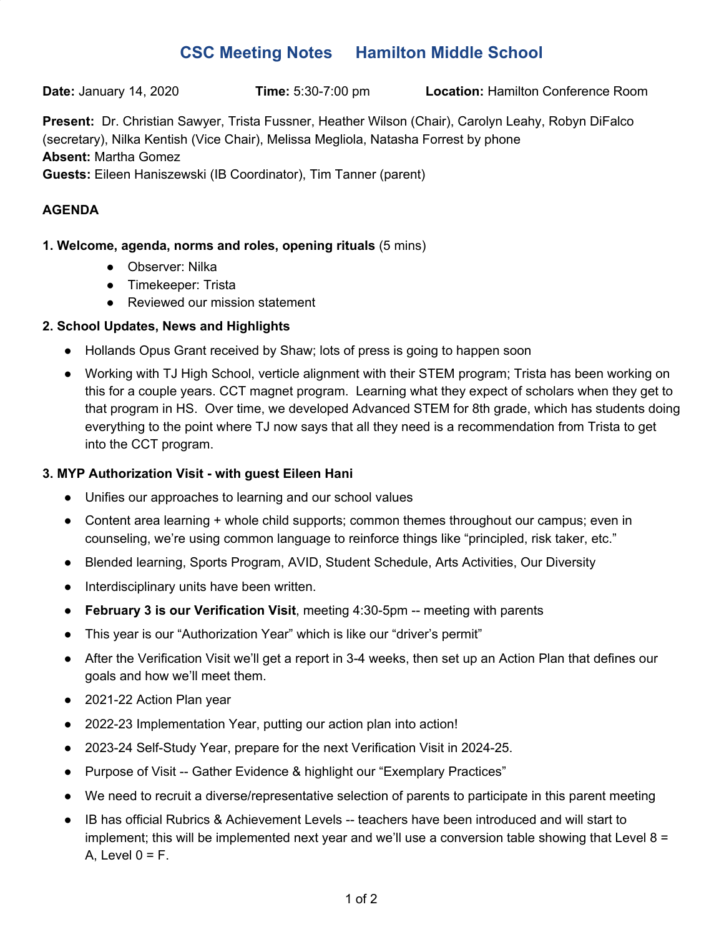# **CSC Meeting Notes Hamilton Middle School**

**Date:** January 14, 2020 **Time:** 5:30-7:00 pm **Location:** Hamilton Conference Room

**Present:** Dr. Christian Sawyer, Trista Fussner, Heather Wilson (Chair), Carolyn Leahy, Robyn DiFalco (secretary), Nilka Kentish (Vice Chair), Melissa Megliola, Natasha Forrest by phone **Absent:** Martha Gomez **Guests:** Eileen Haniszewski (IB Coordinator), Tim Tanner (parent)

## **AGENDA**

### **1. Welcome, agenda, norms and roles, opening rituals** (5 mins)

- Observer: Nilka
- Timekeeper: Trista
- Reviewed our mission statement

### **2. School Updates, News and Highlights**

- Hollands Opus Grant received by Shaw; lots of press is going to happen soon
- Working with TJ High School, verticle alignment with their STEM program; Trista has been working on this for a couple years. CCT magnet program. Learning what they expect of scholars when they get to that program in HS. Over time, we developed Advanced STEM for 8th grade, which has students doing everything to the point where TJ now says that all they need is a recommendation from Trista to get into the CCT program.

#### **3. MYP Authorization Visit - with guest Eileen Hani**

- Unifies our approaches to learning and our school values
- Content area learning + whole child supports; common themes throughout our campus; even in counseling, we're using common language to reinforce things like "principled, risk taker, etc."
- Blended learning, Sports Program, AVID, Student Schedule, Arts Activities, Our Diversity
- Interdisciplinary units have been written.
- **February 3 is our Verification Visit**, meeting 4:30-5pm -- meeting with parents
- This year is our "Authorization Year" which is like our "driver's permit"
- After the Verification Visit we'll get a report in 3-4 weeks, then set up an Action Plan that defines our goals and how we'll meet them.
- 2021-22 Action Plan year
- 2022-23 Implementation Year, putting our action plan into action!
- 2023-24 Self-Study Year, prepare for the next Verification Visit in 2024-25.
- Purpose of Visit -- Gather Evidence & highlight our "Exemplary Practices"
- We need to recruit a diverse/representative selection of parents to participate in this parent meeting
- IB has official Rubrics & Achievement Levels -- teachers have been introduced and will start to implement; this will be implemented next year and we'll use a conversion table showing that Level 8 = A, Level  $0 = F$ .